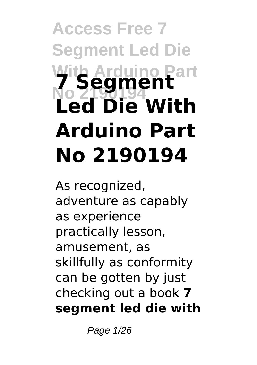# **Access Free 7 Segment Led Die With Arduino Part No 2190194 7 Segment Led Die With Arduino Part No 2190194**

As recognized, adventure as capably as experience practically lesson, amusement, as skillfully as conformity can be gotten by just checking out a book **7 segment led die with**

Page 1/26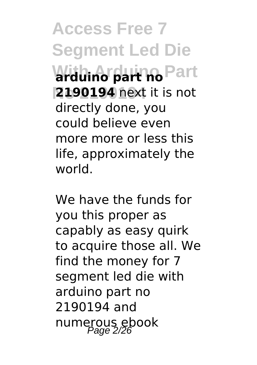**Access Free 7 Segment Led Die With Arduino Part arduino part no No 2190194 2190194** next it is not directly done, you could believe even more more or less this life, approximately the world.

We have the funds for you this proper as capably as easy quirk to acquire those all. We find the money for 7 segment led die with arduino part no 2190194 and numerous ebook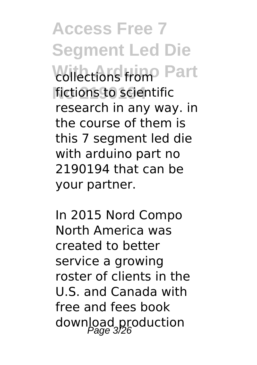**Access Free 7 Segment Led Die Collections from Part** fictions to scientific research in any way. in the course of them is this 7 segment led die with arduino part no 2190194 that can be your partner.

In 2015 Nord Compo North America was created to better service a growing roster of clients in the U.S. and Canada with free and fees book download production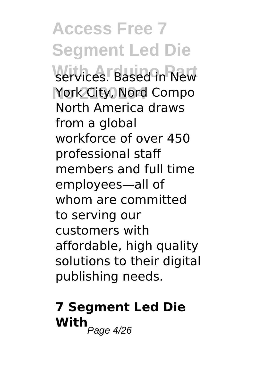**Access Free 7 Segment Led Die** services. Based in New York City, Nord Compo North America draws from a global workforce of over 450 professional staff members and full time employees—all of whom are committed to serving our customers with affordable, high quality solutions to their digital publishing needs.

# **7 Segment Led Die**  $\overline{\text{With}}_{Page\ 4/26}$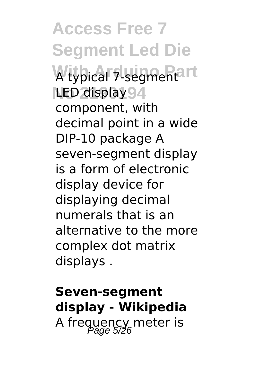**Access Free 7 Segment Led Die With Arduino Part** A typical 7-segment **LED display 94** component, with decimal point in a wide DIP-10 package A seven-segment display is a form of electronic display device for displaying decimal numerals that is an alternative to the more complex dot matrix displays .

### **Seven-segment display - Wikipedia** A frequency meter is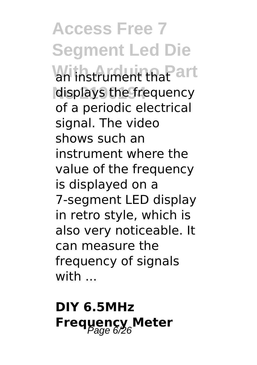**Access Free 7 Segment Led Die With Arduino Part** an instrument that displays the frequency of a periodic electrical signal. The video shows such an instrument where the value of the frequency is displayed on a 7-segment LED display in retro style, which is also very noticeable. It can measure the frequency of signals with ...

### **DIY 6.5MHz Frequency Meter**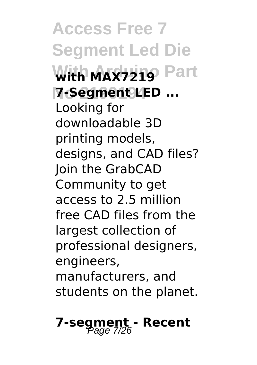**Access Free 7 Segment Led Die With MAX7219 Part No 2190194 7-Segment LED ...** Looking for downloadable 3D printing models, designs, and CAD files? Join the GrabCAD Community to get access to 2.5 million free CAD files from the largest collection of professional designers, engineers, manufacturers, and students on the planet.

### **7-segment - Recent** Page 7/26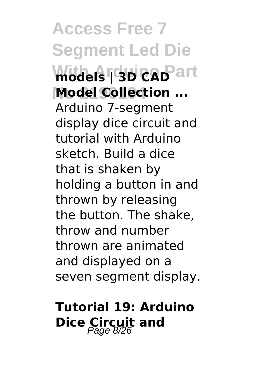**Access Free 7 Segment Led Die Withels Gab CAD** art **Model Collection ...** Arduino 7-segment display dice circuit and tutorial with Arduino sketch. Build a dice that is shaken by holding a button in and thrown by releasing the button. The shake, throw and number thrown are animated and displayed on a seven segment display.

### **Tutorial 19: Arduino Dice Circuit and**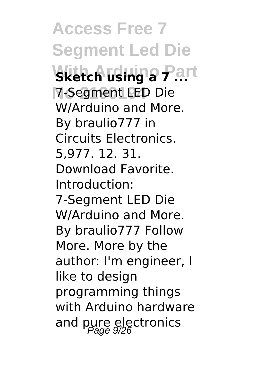**Access Free 7 Segment Led Die Withch using a Part No 2190194** 7-Segment LED Die W/Arduino and More. By braulio777 in Circuits Electronics. 5,977. 12. 31. Download Favorite. Introduction: 7-Segment LED Die W/Arduino and More. By braulio777 Follow More. More by the author: I'm engineer, I like to design programming things with Arduino hardware and pure electronics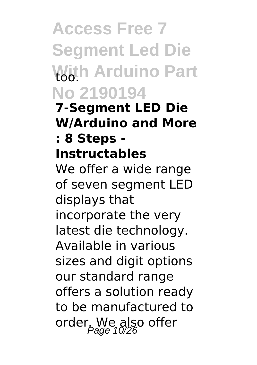## **Access Free 7 Segment Led Die With Arduino Part** too. **No 2190194**

**7-Segment LED Die W/Arduino and More : 8 Steps -**

#### **Instructables**

We offer a wide range of seven segment LED displays that incorporate the very latest die technology. Available in various sizes and digit options our standard range offers a solution ready to be manufactured to order. We also offer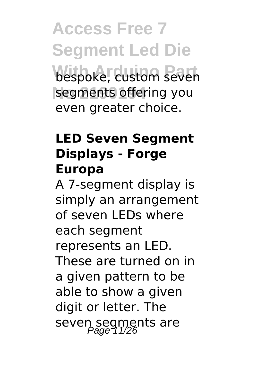**Access Free 7 Segment Led Die** bespoke, custom seven segments offering you even greater choice.

#### **LED Seven Segment Displays - Forge Europa**

A 7-segment display is simply an arrangement of seven LEDs where each segment represents an LED. These are turned on in a given pattern to be able to show a given digit or letter. The seven segments are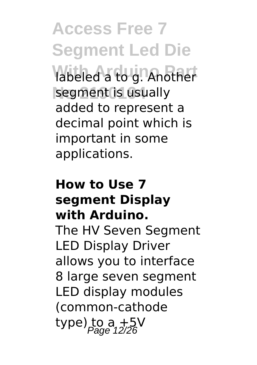**Access Free 7 Segment Led Die** labeled a to g. Another segment is usually added to represent a decimal point which is important in some applications.

#### **How to Use 7 segment Display with Arduino.**

The HV Seven Segment LED Display Driver allows you to interface 8 large seven segment LED display modules (common-cathode type) to a  $+5V$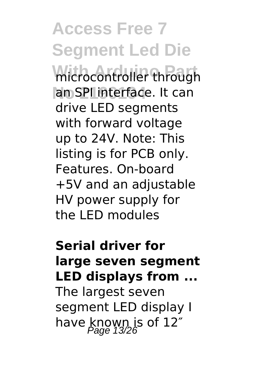**Access Free 7 Segment Led Die** microcontroller through an SPI interface. It can drive LED segments with forward voltage up to 24V. Note: This listing is for PCB only. Features. On-board +5V and an adjustable HV power supply for the LED modules

#### **Serial driver for large seven segment LED displays from ...**

The largest seven segment LED display I have known is of  $12<sup>r</sup>$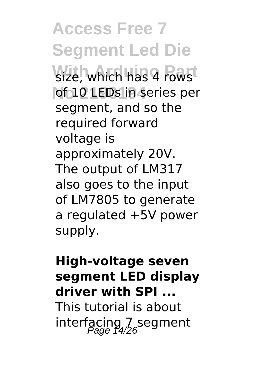**Access Free 7 Segment Led Die Size, which has 4 rowst** of 10 LEDs in series per segment, and so the required forward voltage is approximately 20V. The output of LM317 also goes to the input of LM7805 to generate a regulated +5V power supply.

#### **High-voltage seven segment LED display driver with SPI ...**

This tutorial is about interfacing  $7$  segment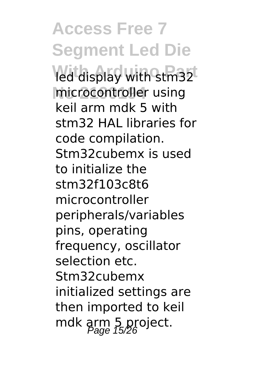**Access Free 7 Segment Led Die** led display with stm32 microcontroller using keil arm mdk 5 with stm32 HAL libraries for code compilation. Stm32cubemx is used to initialize the stm32f103c8t6 microcontroller peripherals/variables pins, operating frequency, oscillator selection etc. Stm32cubemx initialized settings are then imported to keil mdk arm 5 project.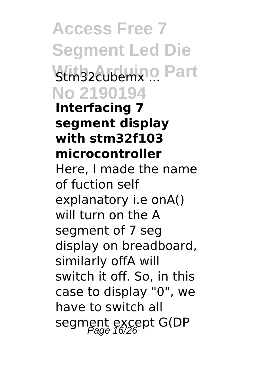**Access Free 7 Segment Led Die** Stm32cubemx ... Part **No 2190194 Interfacing 7 segment display with stm32f103 microcontroller** Here, I made the name of fuction self explanatory i.e onA() will turn on the A segment of 7 seg display on breadboard, similarly offA will switch it off. So, in this case to display "0", we have to switch all segment except G(DP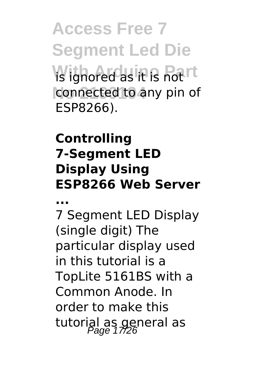**Access Free 7 Segment Led Die With Arduino Part** is ignored as it is not connected to any pin of ESP8266).

#### **Controlling 7-Segment LED Display Using ESP8266 Web Server**

**...**

7 Segment LED Display (single digit) The particular display used in this tutorial is a TopLite 5161BS with a Common Anode. In order to make this tutorial as general as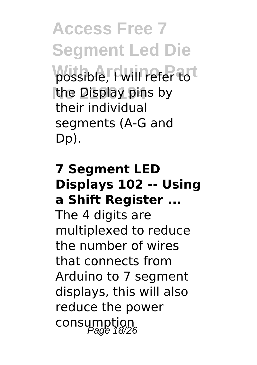**Access Free 7 Segment Led Die** possible, I will refer to t the Display pins by their individual segments (A-G and Dp).

#### **7 Segment LED Displays 102 -- Using a Shift Register ...**

The 4 digits are multiplexed to reduce the number of wires that connects from Arduino to 7 segment displays, this will also reduce the power consumption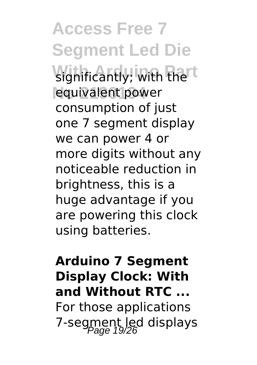**Access Free 7 Segment Led Die** significantly; with the<sup>rt</sup> equivalent power consumption of just one 7 segment display we can power 4 or more digits without any noticeable reduction in brightness, this is a huge advantage if you are powering this clock using batteries.

### **Arduino 7 Segment Display Clock: With and Without RTC ...** For those applications 7-segment led displays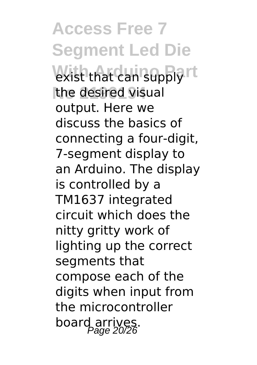**Access Free 7 Segment Led Die With Arduino Part** exist that can supply the desired visual output. Here we discuss the basics of connecting a four-digit, 7-segment display to an Arduino. The display is controlled by a TM1637 integrated circuit which does the nitty gritty work of lighting up the correct segments that compose each of the digits when input from the microcontroller board arrives.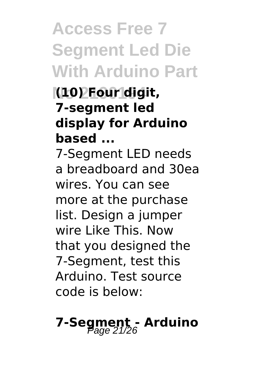## **Access Free 7 Segment Led Die With Arduino Part**

#### **No 2190194 (10) Four digit, 7-segment led display for Arduino based ...**

7-Segment LED needs a breadboard and 30ea wires. You can see more at the purchase list. Design a jumper wire Like This. Now that you designed the 7-Segment, test this Arduino. Test source code is below:

# **7-Segment - Arduino** Page 21/26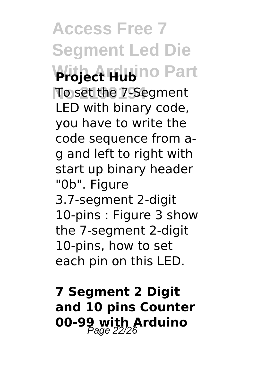**Access Free 7 Segment Led Die With Arduino Part Project Hub** To set the 7-Segment LED with binary code, you have to write the code sequence from ag and left to right with start up binary header "0b". Figure 3.7-segment 2-digit 10-pins : Figure 3 show the 7-segment 2-digit 10-pins, how to set each pin on this LED.

**7 Segment 2 Digit and 10 pins Counter 00-99 with Arduino Page 22/26**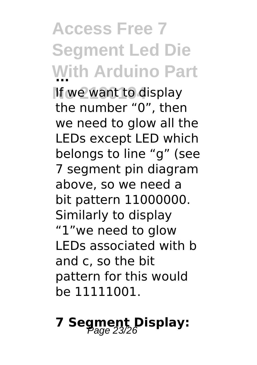**Access Free 7 Segment Led Die With Arduino Part ... No 2190194** If we want to display the number "0", then we need to glow all the LEDs except LED which belongs to line "g" (see 7 segment pin diagram above, so we need a bit pattern 11000000. Similarly to display "1"we need to glow LEDs associated with b and c, so the bit pattern for this would be 11111001.

**7 Segment Display:** Page 23/26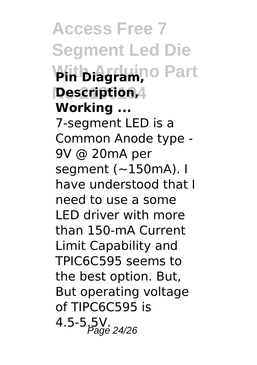**Access Free 7 Segment Led Die With Arduino Part Pin Diagram, No 2190194 Description, Working ...** 7-segment LED is a Common Anode type - 9V @ 20mA per segment  $(-150mA)$ . I have understood that I need to use a some LED driver with more than 150-mA Current Limit Capability and TPIC6C595 seems to the best option. But, But operating voltage of TIPC6C595 is  $4.5 - 5.5V$ . Page 24/26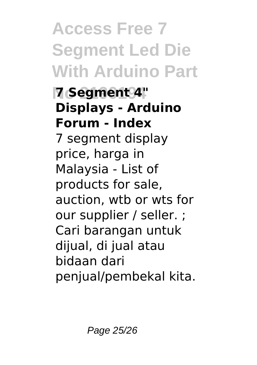# **Access Free 7 Segment Led Die With Arduino Part**

**No 2190194 7 Segment 4" Displays - Arduino Forum - Index** 7 segment display price, harga in Malaysia - List of products for sale, auction, wtb or wts for our supplier / seller. ; Cari barangan untuk dijual, di jual atau bidaan dari penjual/pembekal kita.